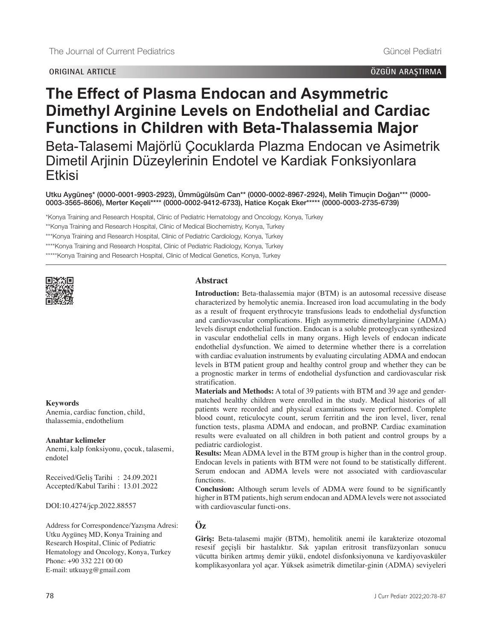# **ORIGINAL ARTICLE ÖZGÜN ARAŞTIRMA**

# **The Effect of Plasma Endocan and Asymmetric Dimethyl Arginine Levels on Endothelial and Cardiac Functions in Children with Beta-Thalassemia Major**

Beta-Talasemi Majörlü Çocuklarda Plazma Endocan ve Asimetrik Dimetil Arjinin Düzeylerinin Endotel ve Kardiak Fonksiyonlara Etkisi

Utku Aygüneş\* [\(0000-0001-9903-2923\),](https://orcid.org/0000-0001-9903-2923) Ümmügülsüm Can\*\* [\(0000-0002-8967-2924\)](https://orcid.org/0000-0002-8967-2924), Melih Timuçin Doğan\*\*\* [\(0000-](https://orcid.org/0000-0003-3565-8606) [0003-3565-8606\)](https://orcid.org/0000-0003-3565-8606), Merter Keçeli\*\*\*\* [\(0000-0002-9412-6733\),](https://orcid.org/0000-0002-9412-6733) Hatice Koçak Eker\*\*\*\*\* [\(0000-0003-2735-6739\)](https://orcid.org/0000-0003-2735-6739)

\*Konya Training and Research Hospital, Clinic of Pediatric Hematology and Oncology, Konya, Turkey

\*\*Konya Training and Research Hospital, Clinic of Medical Biochemistry, Konya, Turkey

\*\*\*Konya Training and Research Hospital, Clinic of Pediatric Cardiology, Konya, Turkey

\*\*\*\*Konya Training and Research Hospital, Clinic of Pediatric Radiology, Konya, Turkey

\*\*\*\*\*Konya Training and Research Hospital, Clinic of Medical Genetics, Konya, Turkey



### **Keywords**

Anemia, cardiac function, child, thalassemia, endothelium

#### **Anahtar kelimeler**

Anemi, kalp fonksiyonu, çocuk, talasemi, endotel

Received/Geliş Tarihi : 24.09.2021 Accepted/Kabul Tarihi : 13.01.2022

DOI:10.4274/jcp.2022.88557

Address for Correspondence/Yazışma Adresi: Utku Aygüneş MD, Konya Training and Research Hospital, Clinic of Pediatric Hematology and Oncology, Konya, Turkey Phone: +90 332 221 00 00 E-mail: utkuayg@gmail.com

#### **Abstract**

**Introduction:** Beta-thalassemia major (BTM) is an autosomal recessive disease characterized by hemolytic anemia. Increased iron load accumulating in the body as a result of frequent erythrocyte transfusions leads to endothelial dysfunction and cardiovascular complications. High asymmetric dimethylarginine (ADMA) levels disrupt endothelial function. Endocan is a soluble proteoglycan synthesized in vascular endothelial cells in many organs. High levels of endocan indicate endothelial dysfunction. We aimed to determine whether there is a correlation with cardiac evaluation instruments by evaluating circulating ADMA and endocan levels in BTM patient group and healthy control group and whether they can be a prognostic marker in terms of endothelial dysfunction and cardiovascular risk stratification.

**Materials and Methods:** A total of 39 patients with BTM and 39 age and gendermatched healthy children were enrolled in the study. Medical histories of all patients were recorded and physical examinations were performed. Complete blood count, reticulocyte count, serum ferritin and the iron level, liver, renal function tests, plasma ADMA and endocan, and proBNP. Cardiac examination results were evaluated on all children in both patient and control groups by a pediatric cardiologist.

**Results:** Mean ADMA level in the BTM group is higher than in the control group. Endocan levels in patients with BTM were not found to be statistically different. Serum endocan and ADMA levels were not associated with cardiovascular functions.

**Conclusion:** Although serum levels of ADMA were found to be significantly higher in BTM patients, high serum endocan and ADMA levels were not associated with cardiovascular functi-ons.

# **Öz**

**Giriş:** Beta-talasemi majör (BTM), hemolitik anemi ile karakterize otozomal resesif geçişli bir hastalıktır. Sık yapılan eritrosit transfüzyonları sonucu vücutta biriken artmış demir yükü, endotel disfonksiyonuna ve kardiyovasküler komplikasyonlara yol açar. Yüksek asimetrik dimetilar-ginin (ADMA) seviyeleri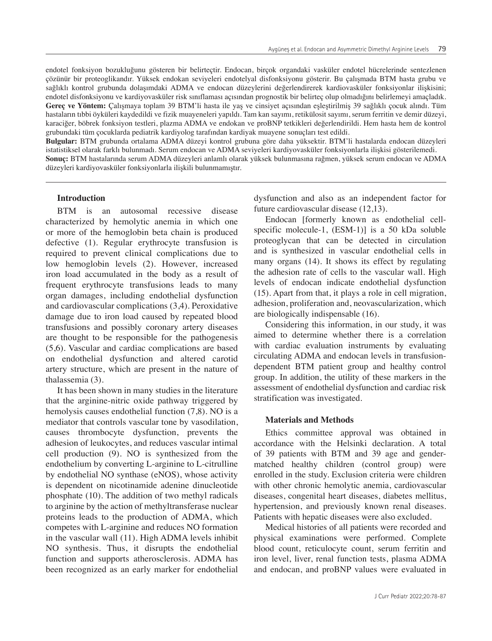endotel fonksiyon bozukluğunu gösteren bir belirteçtir. Endocan, birçok organdaki vasküler endotel hücrelerinde sentezlenen çözünür bir proteoglikandır. Yüksek endokan seviyeleri endotelyal disfonksiyonu gösterir. Bu çalışmada BTM hasta grubu ve sağlıklı kontrol grubunda dolaşımdaki ADMA ve endocan düzeylerini değerlendirerek kardiovasküler fonksiyonlar ilişkisini; endotel disfonksiyonu ve kardiyovasküler risk sınıflaması açısından prognostik bir belirteç olup olmadığını belirlemeyi amaçladık. **Gereç ve Yöntem:** Çalışmaya toplam 39 BTM'li hasta ile yaş ve cinsiyet açısından eşleştirilmiş 39 sağlıklı çocuk alındı. Tüm hastaların tıbbi öyküleri kaydedildi ve fizik muayeneleri yapıldı. Tam kan sayımı, retikülosit sayımı, serum ferritin ve demir düzeyi, karaciğer, böbrek fonksiyon testleri, plazma ADMA ve endokan ve proBNP tetkikleri değerlendirildi. Hem hasta hem de kontrol grubundaki tüm çocuklarda pediatrik kardiyolog tarafından kardiyak muayene sonuçları test edildi.

**Bulgular:** BTM grubunda ortalama ADMA düzeyi kontrol grubuna göre daha yüksektir. BTM'li hastalarda endocan düzeyleri istatistiksel olarak farklı bulunmadı. Serum endocan ve ADMA seviyeleri kardiyovasküler fonksiyonlarla ilişkisi gösterilemedi. **Sonuç:** BTM hastalarında serum ADMA düzeyleri anlamlı olarak yüksek bulunmasına rağmen, yüksek serum endocan ve ADMA düzeyleri kardiyovasküler fonksiyonlarla ilişkili bulunmamıştır.

#### **Introduction**

BTM is an autosomal recessive disease characterized by hemolytic anemia in which one or more of the hemoglobin beta chain is produced defective (1). Regular erythrocyte transfusion is required to prevent clinical complications due to low hemoglobin levels (2). However, increased iron load accumulated in the body as a result of frequent erythrocyte transfusions leads to many organ damages, including endothelial dysfunction and cardiovascular complications (3,4). Peroxidative damage due to iron load caused by repeated blood transfusions and possibly coronary artery diseases are thought to be responsible for the pathogenesis (5,6). Vascular and cardiac complications are based on endothelial dysfunction and altered carotid artery structure, which are present in the nature of thalassemia (3).

It has been shown in many studies in the literature that the arginine-nitric oxide pathway triggered by hemolysis causes endothelial function (7,8). NO is a mediator that controls vascular tone by vasodilation, causes thrombocyte dysfunction, prevents the adhesion of leukocytes, and reduces vascular intimal cell production (9). NO is synthesized from the endothelium by converting L-arginine to L-citrulline by endothelial NO synthase (eNOS), whose activity is dependent on nicotinamide adenine dinucleotide phosphate (10). The addition of two methyl radicals to arginine by the action of methyltransferase nuclear proteins leads to the production of ADMA, which competes with L-arginine and reduces NO formation in the vascular wall (11). High ADMA levels inhibit NO synthesis. Thus, it disrupts the endothelial function and supports atherosclerosis. ADMA has been recognized as an early marker for endothelial

dysfunction and also as an independent factor for future cardiovascular disease (12,13).

Endocan [formerly known as endothelial cellspecific molecule-1, (ESM-1)] is a 50 kDa soluble proteoglycan that can be detected in circulation and is synthesized in vascular endothelial cells in many organs (14). It shows its effect by regulating the adhesion rate of cells to the vascular wall. High levels of endocan indicate endothelial dysfunction (15). Apart from that, it plays a role in cell migration, adhesion, proliferation and, neovascularization, which are biologically indispensable (16).

Considering this information, in our study, it was aimed to determine whether there is a correlation with cardiac evaluation instruments by evaluating circulating ADMA and endocan levels in transfusiondependent BTM patient group and healthy control group. In addition, the utility of these markers in the assessment of endothelial dysfunction and cardiac risk stratification was investigated.

### **Materials and Methods**

Ethics committee approval was obtained in accordance with the Helsinki declaration. A total of 39 patients with BTM and 39 age and gendermatched healthy children (control group) were enrolled in the study. Exclusion criteria were children with other chronic hemolytic anemia, cardiovascular diseases, congenital heart diseases, diabetes mellitus, hypertension, and previously known renal diseases. Patients with hepatic diseases were also excluded.

Medical histories of all patients were recorded and physical examinations were performed. Complete blood count, reticulocyte count, serum ferritin and iron level, liver, renal function tests, plasma ADMA and endocan, and proBNP values were evaluated in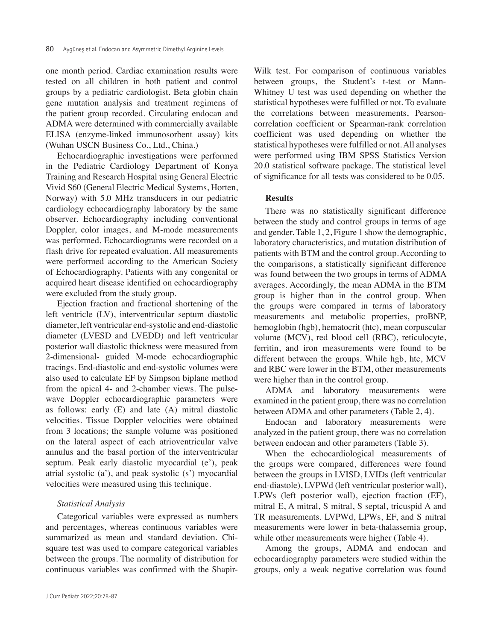one month period. Cardiac examination results were tested on all children in both patient and control groups by a pediatric cardiologist. Beta globin chain gene mutation analysis and treatment regimens of the patient group recorded. Circulating endocan and ADMA were determined with commercially available ELISA (enzyme-linked immunosorbent assay) kits (Wuhan USCN Business Co., Ltd., China.)

Echocardiographic investigations were performed in the Pediatric Cardiology Department of Konya Training and Research Hospital using General Electric Vivid S60 (General Electric Medical Systems, Horten, Norway) with 5.0 MHz transducers in our pediatric cardiology echocardiography laboratory by the same observer. Echocardiography including conventional Doppler, color images, and M-mode measurements was performed. Echocardiograms were recorded on a flash drive for repeated evaluation. All measurements were performed according to the American Society of Echocardiography. Patients with any congenital or acquired heart disease identified on echocardiography were excluded from the study group.

Ejection fraction and fractional shortening of the left ventricle (LV), interventricular septum diastolic diameter, left ventricular end-systolic and end-diastolic diameter (LVESD and LVEDD) and left ventricular posterior wall diastolic thickness were measured from 2-dimensional- guided M-mode echocardiographic tracings. End-diastolic and end-systolic volumes were also used to calculate EF by Simpson biplane method from the apical 4- and 2-chamber views. The pulsewave Doppler echocardiographic parameters were as follows: early (E) and late (A) mitral diastolic velocities. Tissue Doppler velocities were obtained from 3 locations; the sample volume was positioned on the lateral aspect of each atrioventricular valve annulus and the basal portion of the interventricular septum. Peak early diastolic myocardial (e'), peak atrial systolic (a'), and peak systolic (s') myocardial velocities were measured using this technique.

### *Statistical Analysis*

Categorical variables were expressed as numbers and percentages, whereas continuous variables were summarized as mean and standard deviation. Chisquare test was used to compare categorical variables between the groups. The normality of distribution for continuous variables was confirmed with the ShapirWilk test. For comparison of continuous variables between groups, the Student's t-test or Mann-Whitney U test was used depending on whether the statistical hypotheses were fulfilled or not. To evaluate the correlations between measurements, Pearsoncorrelation coefficient or Spearman-rank correlation coefficient was used depending on whether the statistical hypotheses were fulfilled or not. All analyses were performed using IBM SPSS Statistics Version 20.0 statistical software package. The statistical level of significance for all tests was considered to be 0.05.

## **Results**

There was no statistically significant difference between the study and control groups in terms of age and gender. Table 1, 2, Figure 1 show the demographic, laboratory characteristics, and mutation distribution of patients with BTM and the control group. According to the comparisons, a statistically significant difference was found between the two groups in terms of ADMA averages. Accordingly, the mean ADMA in the BTM group is higher than in the control group. When the groups were compared in terms of laboratory measurements and metabolic properties, proBNP, hemoglobin (hgb), hematocrit (htc), mean corpuscular volume (MCV), red blood cell (RBC), reticulocyte, ferritin, and iron measurements were found to be different between the groups. While hgb, htc, MCV and RBC were lower in the BTM, other measurements were higher than in the control group.

ADMA and laboratory measurements were examined in the patient group, there was no correlation between ADMA and other parameters (Table 2, 4).

Endocan and laboratory measurements were analyzed in the patient group, there was no correlation between endocan and other parameters (Table 3).

When the echocardiological measurements of the groups were compared, differences were found between the groups in LVISD, LVIDs (left ventricular end-diastole), LVPWd (left ventricular posterior wall), LPWs (left posterior wall), ejection fraction (EF), mitral E, A mitral, S mitral, S septal, tricuspid A and TR measurements. LVPWd, LPWs, EF, and S mitral measurements were lower in beta-thalassemia group, while other measurements were higher (Table 4).

Among the groups, ADMA and endocan and echocardiography parameters were studied within the groups, only a weak negative correlation was found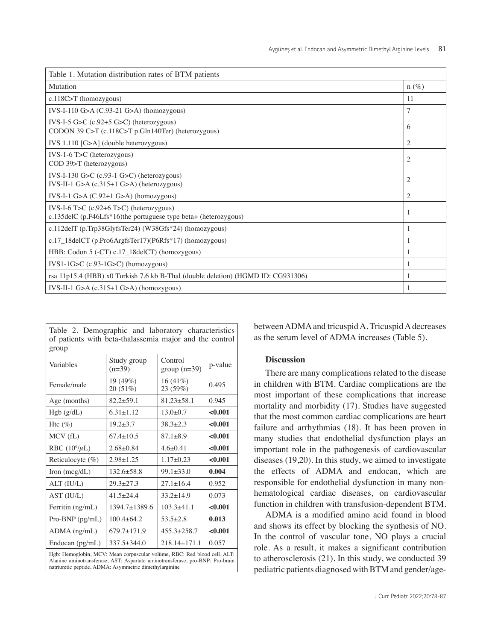| Table 1. Mutation distribution rates of BTM patients                                                         |                |
|--------------------------------------------------------------------------------------------------------------|----------------|
| Mutation                                                                                                     | $n(\%)$        |
| $c.118C>T$ (homozygous)                                                                                      | 11             |
| IVS-I-110 G>A $(C.93-21$ G>A) (homozygous)                                                                   | 7              |
| IVS-I-5 G>C $(c.92+5 G>C)$ (heterozygous)<br>CODON 39 C>T (c.118C>T p.Gln140Ter) (heterozygous)              | 6              |
| IVS 1.110 [G>A] (double heterozygous)                                                                        | $\overline{2}$ |
| $IVS-1-6$ T>C (heterozygous)<br>COD 39>T (heterozygous)                                                      | $\overline{2}$ |
| IVS-I-130 G>C (c.93-1 G>C) (heterozygous)<br>IVS-II-1 $G>A$ (c.315+1 $G>A$ ) (heterozygous)                  | $\overline{2}$ |
| IVS-I-1 G>A $(C.92+1 G> A)$ (homozygous)                                                                     | $\overline{2}$ |
| IVS-I-6 T>C $(c.92+6$ T>C) (heterozygous)<br>c.135delC (p.F46Lfs*16)the portuguese type beta+ (heterozygous) | 1              |
| c.112delT (p.Trp38GlyfsTer24) (W38Gfs*24) (homozygous)                                                       | 1              |
| c.17_18delCT (p.Pro6ArgfsTer17)(P6Rfs*17) (homozygous)                                                       |                |
| HBB: Codon 5 (-CT) c.17_18delCT) (homozygous)                                                                | 1              |
| $IVS1-1G>C$ (c.93-1G $\geq$ C) (homozygous)                                                                  | 1              |
| rsa 11p15.4 (HBB) x0 Turkish 7.6 kb B-Thal (double deletion) (HGMD ID: CG931306)                             | 1              |
| IVS-II-1 G>A $(c.315+1 G> A)$ (homozygous)                                                                   | 1              |

| Table 2. Demographic and laboratory characteristics<br>of patients with beta-thalassemia major and the control<br>group                                                                                             |                                                |                           |         |  |  |
|---------------------------------------------------------------------------------------------------------------------------------------------------------------------------------------------------------------------|------------------------------------------------|---------------------------|---------|--|--|
| Variables                                                                                                                                                                                                           | Study group<br>$(n=39)$                        | Control<br>group $(n=39)$ | p-value |  |  |
| Female/male                                                                                                                                                                                                         | 19 (49%)<br>$16(41\%)$<br>20 (51%)<br>23 (59%) |                           | 0.495   |  |  |
| Age (months)                                                                                                                                                                                                        | $82.2 + 59.1$                                  | $81.23 + 58.1$            | 0.945   |  |  |
| Hgb (g/dL)                                                                                                                                                                                                          | $6.31 \pm 1.12$                                | $13.0 + 0.7$              | < 0.001 |  |  |
| Htc $(\% )$                                                                                                                                                                                                         | $19.2 + 3.7$                                   | $38.3 + 2.3$              | < 0.001 |  |  |
| MCV (fL)                                                                                                                                                                                                            | $67.4 \pm 10.5$                                | $87.1 + 8.9$              | < 0.001 |  |  |
| RBC $(10^6/\mu L)$                                                                                                                                                                                                  | $2.68 + 0.84$                                  | $4.6 + 0.41$              | < 0.001 |  |  |
| Reticulocyte (%)                                                                                                                                                                                                    | $2.98 + 1.25$                                  | $1.17+0.23$               | < 0.001 |  |  |
| Iron $(mcg/dL)$                                                                                                                                                                                                     | $132.6 + 58.8$                                 | $99.1 + 33.0$             | 0.004   |  |  |
| ALT (IU/L)                                                                                                                                                                                                          | $29.3 + 27.3$                                  | $27.1 \pm 16.4$           | 0.952   |  |  |
| AST (IU/L)                                                                                                                                                                                                          | $41.5 + 24.4$                                  | $33.2 + 14.9$             | 0.073   |  |  |
| Ferritin (ng/mL)                                                                                                                                                                                                    | $1394.7 \pm 1389.6$                            | $103.3 + 41.1$            | < 0.001 |  |  |
| Pro-BNP (pg/mL)                                                                                                                                                                                                     | $100.4 + 64.2$                                 | $53.5 + 2.8$              | 0.013   |  |  |
| $ADMA$ (ng/mL)                                                                                                                                                                                                      | $679.7 \pm 171.9$                              | $455.3 + 258.7$           | < 0.001 |  |  |
| Endocan $(pg/mL)$                                                                                                                                                                                                   | $337.5 + 344.0$                                | $218.14 \pm 171.1$        | 0.057   |  |  |
| Hgb: Hemoglobin, MCV: Mean corpuscular volume, RBC: Red blood cell, ALT:<br>Alanine aminotransferase, AST: Aspartate aminotransferase, pro-BNP: Pro-brain<br>natriuretic peptide, ADMA: Asymmetric dimethylarginine |                                                |                           |         |  |  |

between ADMA and tricuspid A. Tricuspid A decreases as the serum level of ADMA increases (Table 5).

# **Discussion**

There are many complications related to the disease in children with BTM. Cardiac complications are the most important of these complications that increase mortality and morbidity (17). Studies have suggested that the most common cardiac complications are heart failure and arrhythmias (18). It has been proven in many studies that endothelial dysfunction plays an important role in the pathogenesis of cardiovascular diseases (19,20). In this study, we aimed to investigate the effects of ADMA and endocan, which are responsible for endothelial dysfunction in many nonhematological cardiac diseases, on cardiovascular function in children with transfusion-dependent BTM.

ADMA is a modified amino acid found in blood and shows its effect by blocking the synthesis of NO. In the control of vascular tone, NO plays a crucial role. As a result, it makes a significant contribution to atherosclerosis (21). In this study, we conducted 39 pediatric patients diagnosed with BTM and gender/age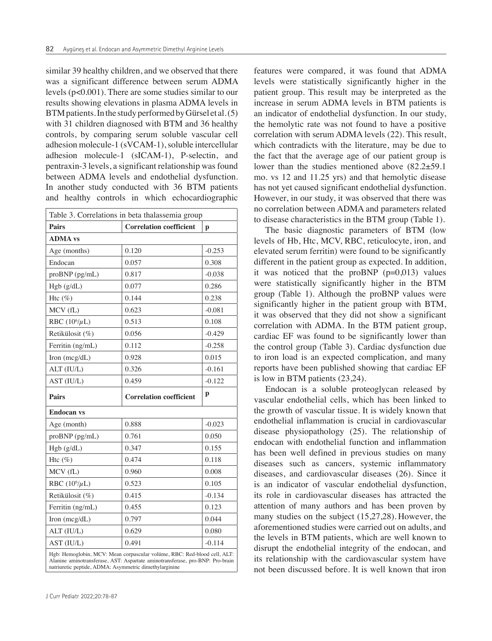similar 39 healthy children, and we observed that there was a significant difference between serum ADMA levels (p<0.001). There are some studies similar to our results showing elevations in plasma ADMA levels in BTM patients. In the study performed by Gürsel et al. (5) with 31 children diagnosed with BTM and 36 healthy controls, by comparing serum soluble vascular cell adhesion molecule-1 (sVCAM-1), soluble intercellular adhesion molecule-1 (sICAM-1), P-selectin, and pentraxin-3 levels, a significant relationship was found between ADMA levels and endothelial dysfunction. In another study conducted with 36 BTM patients and healthy controls in which echocardiographic

| Table 3. Correlations in beta thalassemia group                |                                                                                                                                                        |          |  |  |  |
|----------------------------------------------------------------|--------------------------------------------------------------------------------------------------------------------------------------------------------|----------|--|--|--|
| <b>Correlation coefficient</b><br><b>Pairs</b><br>$\mathbf{p}$ |                                                                                                                                                        |          |  |  |  |
| <b>ADMA</b> vs                                                 |                                                                                                                                                        |          |  |  |  |
| Age (months)                                                   | 0.120                                                                                                                                                  | $-0.253$ |  |  |  |
| Endocan                                                        | 0.057                                                                                                                                                  | 0.308    |  |  |  |
| proBNP (pg/mL)                                                 | 0.817                                                                                                                                                  | $-0.038$ |  |  |  |
| Hgb (g/dL)                                                     | 0.077                                                                                                                                                  | 0.286    |  |  |  |
| Htc $(\%)$                                                     | 0.144                                                                                                                                                  | 0.238    |  |  |  |
| MCV (fL)                                                       | 0.623                                                                                                                                                  | $-0.081$ |  |  |  |
| RBC $(10^6/\mu L)$                                             | 0.513                                                                                                                                                  | 0.108    |  |  |  |
| Retikülosit (%)                                                | 0.056                                                                                                                                                  | $-0.429$ |  |  |  |
| Ferritin (ng/mL)                                               | 0.112                                                                                                                                                  | $-0.258$ |  |  |  |
| Iron (mcg/dL)                                                  | 0.928                                                                                                                                                  | 0.015    |  |  |  |
| ALT (IU/L)                                                     | 0.326                                                                                                                                                  | $-0.161$ |  |  |  |
| AST (IU/L)                                                     | 0.459                                                                                                                                                  | $-0.122$ |  |  |  |
| <b>Pairs</b>                                                   | <b>Correlation coefficient</b>                                                                                                                         | p        |  |  |  |
| <b>Endocan vs</b>                                              |                                                                                                                                                        |          |  |  |  |
| Age (month)                                                    | 0.888                                                                                                                                                  | $-0.023$ |  |  |  |
| $proBNP$ ( $pg/mL$ )                                           | 0.761                                                                                                                                                  | 0.050    |  |  |  |
| Hgb (g/dL)                                                     | 0.347                                                                                                                                                  | 0.155    |  |  |  |
| Htc $(\%)$                                                     | 0.474                                                                                                                                                  | 0.118    |  |  |  |
| MCV (fL)                                                       | 0.960                                                                                                                                                  | 0.008    |  |  |  |
| RBC $(10^6/\mu L)$                                             | 0.523                                                                                                                                                  | 0.105    |  |  |  |
| Retikülosit (%)                                                | 0.415                                                                                                                                                  | $-0.134$ |  |  |  |
| Ferritin (ng/mL)                                               | 0.455                                                                                                                                                  | 0.123    |  |  |  |
| Iron $(mcg/dL)$                                                | 0.797                                                                                                                                                  | 0.044    |  |  |  |
| ALT (IU/L)                                                     | 0.629                                                                                                                                                  | 0.080    |  |  |  |
| AST (IU/L)                                                     | 0.491                                                                                                                                                  | $-0.114$ |  |  |  |
|                                                                | Hgb: Hemoglobin, MCV: Mean corpuscular volüme, RBC: Red-blood cell, ALT:<br>Marina aminatrangfaraga AST. Agnortata aminatrangfaraga nga DND, Dra brain |          |  |  |  |

Alanine aminotransferase, AST: Aspartate aminotransferase, pro-BNP: Pro-brain natriuretic peptide, ADMA: Asymmetric dimethylarginine

features were compared, it was found that ADMA levels were statistically significantly higher in the patient group. This result may be interpreted as the increase in serum ADMA levels in BTM patients is an indicator of endothelial dysfunction. In our study, the hemolytic rate was not found to have a positive correlation with serum ADMA levels (22). This result, which contradicts with the literature, may be due to the fact that the average age of our patient group is lower than the studies mentioned above (82.2±59.1 mo. vs 12 and 11.25 yrs) and that hemolytic disease has not yet caused significant endothelial dysfunction. However, in our study, it was observed that there was no correlation between ADMA and parameters related to disease characteristics in the BTM group (Table 1).

The basic diagnostic parameters of BTM (low levels of Hb, Htc, MCV, RBC, reticulocyte, iron, and elevated serum ferritin) were found to be significantly different in the patient group as expected. In addition, it was noticed that the proBNP  $(p=0.013)$  values were statistically significantly higher in the BTM group (Table 1). Although the proBNP values were significantly higher in the patient group with BTM, it was observed that they did not show a significant correlation with ADMA. In the BTM patient group, cardiac EF was found to be significantly lower than the control group (Table 3). Cardiac dysfunction due to iron load is an expected complication, and many reports have been published showing that cardiac EF is low in BTM patients (23,24).

Endocan is a soluble proteoglycan released by vascular endothelial cells, which has been linked to the growth of vascular tissue. It is widely known that endothelial inflammation is crucial in cardiovascular disease physiopathology (25). The relationship of endocan with endothelial function and inflammation has been well defined in previous studies on many diseases such as cancers, systemic inflammatory diseases, and cardiovascular diseases (26). Since it is an indicator of vascular endothelial dysfunction, its role in cardiovascular diseases has attracted the attention of many authors and has been proven by many studies on the subject (15,27,28). However, the aforementioned studies were carried out on adults, and the levels in BTM patients, which are well known to disrupt the endothelial integrity of the endocan, and its relationship with the cardiovascular system have not been discussed before. It is well known that iron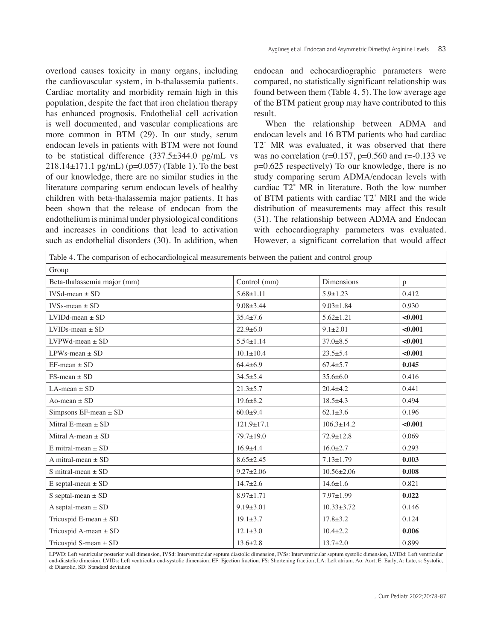overload causes toxicity in many organs, including the cardiovascular system, in b-thalassemia patients. Cardiac mortality and morbidity remain high in this population, despite the fact that iron chelation therapy has enhanced prognosis. Endothelial cell activation is well documented, and vascular complications are more common in BTM (29). In our study, serum endocan levels in patients with BTM were not found to be statistical difference  $(337.5 \pm 344.0 \text{ pg/mL}$  vs  $218.14 \pm 171.1$  pg/mL) (p=0.057) (Table 1). To the best of our knowledge, there are no similar studies in the literature comparing serum endocan levels of healthy children with beta-thalassemia major patients. It has been shown that the release of endocan from the endothelium is minimal under physiological conditions and increases in conditions that lead to activation such as endothelial disorders (30). In addition, when

endocan and echocardiographic parameters were compared, no statistically significant relationship was found between them (Table 4, 5). The low average age of the BTM patient group may have contributed to this result.

When the relationship between ADMA and endocan levels and 16 BTM patients who had cardiac T2\* MR was evaluated, it was observed that there was no correlation ( $r=0.157$ ,  $p=0.560$  and  $r=-0.133$  ve p=0.625 respectively) To our knowledge, there is no study comparing serum ADMA/endocan levels with cardiac T2\* MR in literature. Both the low number of BTM patients with cardiac T2\* MRI and the wide distribution of measurements may affect this result (31). The relationship between ADMA and Endocan with echocardiography parameters was evaluated. However, a significant correlation that would affect

| Table 4. The comparison of echocardiological measurements between the patient and control group |                  |                   |         |
|-------------------------------------------------------------------------------------------------|------------------|-------------------|---------|
| Group                                                                                           |                  |                   |         |
| Beta-thalassemia major (mm)                                                                     | Control (mm)     | <b>Dimensions</b> | p       |
| $IVSd-mean + SD$                                                                                | $5.68 + 1.11$    | $5.9 \pm 1.23$    | 0.412   |
| $IVSs-mean + SD$                                                                                | $9.08 + 3.44$    | $9.03 \pm 1.84$   | 0.930   |
| $LVIDd-mean \pm SD$                                                                             | $35.4 \pm 7.6$   | $5.62 \pm 1.21$   | < 0.001 |
| $LVIDs-mean + SD$                                                                               | $22.9 \pm 6.0$   | $9.1 + 2.01$      | < 0.001 |
| $LVPWd-mean \pm SD$                                                                             | $5.54 \pm 1.14$  | $37.0 \pm 8.5$    | < 0.001 |
| LPWs-mean $\pm$ SD                                                                              | $10.1 \pm 10.4$  | $23.5 \pm 5.4$    | < 0.001 |
| $EF-mean \pm SD$                                                                                | $64.4 + 6.9$     | $67.4 \pm 5.7$    | 0.045   |
| $FS-mean \pm SD$                                                                                | $34.5 \pm 5.4$   | $35.6 \pm 6.0$    | 0.416   |
| LA-mean $\pm$ SD                                                                                | $21.3 \pm 5.7$   | $20.4 + 4.2$      | 0.441   |
| Ao-mean $\pm$ SD                                                                                | $19.6 \pm 8.2$   | $18.5 \pm 4.3$    | 0.494   |
| Simpsons EF-mean $\pm$ SD                                                                       | $60.0+9.4$       | $62.1 \pm 3.6$    | 0.196   |
| Mitral E-mean $\pm$ SD                                                                          | $121.9 \pm 17.1$ | $106.3 \pm 14.2$  | < 0.001 |
| Mitral A-mean $\pm$ SD                                                                          | $79.7 \pm 19.0$  | $72.9 \pm 12.8$   | 0.069   |
| $E$ mitral-mean $\pm$ SD                                                                        | $16.9{\pm}4.4$   | $16.0 \pm 2.7$    | 0.293   |
| A mitral-mean $\pm$ SD                                                                          | $8.65 + 2.45$    | $7.13 \pm 1.79$   | 0.003   |
| S mitral-mean $\pm$ SD                                                                          | $9.27 \pm 2.06$  | $10.56 \pm 2.06$  | 0.008   |
| E septal-mean $\pm$ SD                                                                          | $14.7+2.6$       | $14.6 \pm 1.6$    | 0.821   |
| S septal-mean $\pm$ SD                                                                          | $8.97 \pm 1.71$  | $7.97 \pm 1.99$   | 0.022   |
| A septal-mean $\pm$ SD                                                                          | $9.19 + 3.01$    | $10.33 + 3.72$    | 0.146   |
| Tricuspid E-mean $\pm$ SD                                                                       | $19.1 \pm 3.7$   | $17.8 + 3.2$      | 0.124   |
| Tricuspid A-mean $\pm$ SD                                                                       | $12.1 \pm 3.0$   | $10.4 + 2.2$      | 0.006   |
| Tricuspid S-mean $\pm$ SD                                                                       | $13.6 \pm 2.8$   | $13.7 \pm 2.0$    | 0.899   |

LPWD: Left ventricular posterior wall dimension, IVSd: Interventricular septum diastolic dimension, IVSs: Interventricular septum systolic dimension, LVIDd: Left ventricular end-diastolic dimesion, LVIDs: Left ventricular end-systolic dimension, EF: Ejection fraction, FS: Shortening fraction, LA: Left atrium, Ao: Aort, E: Early, A: Late, s: Systolic, d: Diastolic, SD: Standard deviation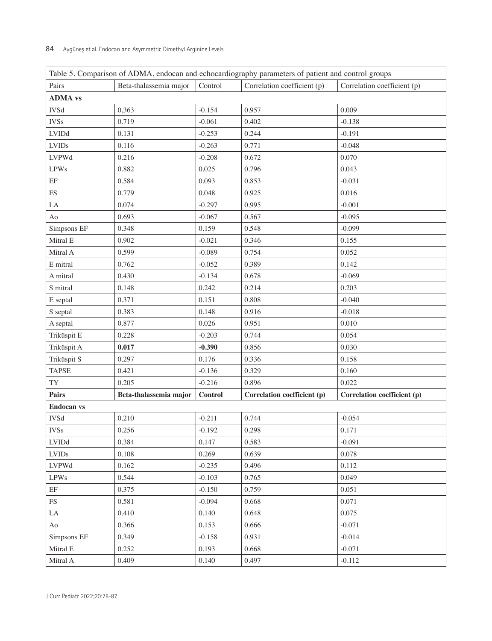| Table 5. Comparison of ADMA, endocan and echocardiography parameters of patient and control groups |                        |          |                             |                             |  |  |
|----------------------------------------------------------------------------------------------------|------------------------|----------|-----------------------------|-----------------------------|--|--|
| Pairs                                                                                              | Beta-thalassemia major | Control  | Correlation coefficient (p) | Correlation coefficient (p) |  |  |
| <b>ADMA</b> vs                                                                                     |                        |          |                             |                             |  |  |
| <b>IVSd</b>                                                                                        | 0,363                  | $-0.154$ | 0.957                       | 0.009                       |  |  |
| <b>IVSs</b>                                                                                        | 0.719                  | $-0.061$ | 0.402                       | $-0.138$                    |  |  |
| LVIDd                                                                                              | 0.131                  | $-0.253$ | 0.244                       | $-0.191$                    |  |  |
| <b>LVIDs</b>                                                                                       | 0.116                  | $-0.263$ | 0.771                       | $-0.048$                    |  |  |
| <b>LVPWd</b>                                                                                       | 0.216                  | $-0.208$ | 0.672                       | 0.070                       |  |  |
| <b>LPWs</b>                                                                                        | 0.882                  | 0.025    | 0.796                       | 0.043                       |  |  |
| $\rm EF$                                                                                           | 0.584                  | 0.093    | 0.853                       | $-0.031$                    |  |  |
| ${\rm FS}$                                                                                         | 0.779                  | 0.048    | 0.925                       | 0.016                       |  |  |
| ${\rm LA}$                                                                                         | 0.074                  | $-0.297$ | 0.995                       | $-0.001$                    |  |  |
| Ao                                                                                                 | 0.693                  | $-0.067$ | 0.567                       | $-0.095$                    |  |  |
| Simpsons EF                                                                                        | 0.348                  | 0.159    | 0.548                       | $-0.099$                    |  |  |
| Mitral E                                                                                           | 0.902                  | $-0.021$ | 0.346                       | 0.155                       |  |  |
| Mitral A                                                                                           | 0.599                  | $-0.089$ | 0.754                       | 0.052                       |  |  |
| E mitral                                                                                           | 0.762                  | $-0.052$ | 0.389                       | 0.142                       |  |  |
| A mitral                                                                                           | 0.430                  | $-0.134$ | 0.678                       | $-0.069$                    |  |  |
| S mitral                                                                                           | 0.148                  | 0.242    | 0.214                       | 0.203                       |  |  |
| E septal                                                                                           | 0.371                  | 0.151    | 0.808                       | $-0.040$                    |  |  |
| S septal                                                                                           | 0.383                  | 0.148    | 0.916                       | $-0.018$                    |  |  |
| A septal                                                                                           | 0.877                  | 0.026    | 0.951                       | 0.010                       |  |  |
| Triküspit E                                                                                        | 0.228                  | $-0.203$ | 0.744                       | 0.054                       |  |  |
| Triküspit A                                                                                        | 0.017                  | $-0.390$ | 0.856                       | 0.030                       |  |  |
| Triküspit S                                                                                        | 0.297                  | 0.176    | 0.336                       | 0.158                       |  |  |
| <b>TAPSE</b>                                                                                       | 0.421                  | $-0.136$ | 0.329                       | 0.160                       |  |  |
| TY                                                                                                 | 0.205                  | $-0.216$ | 0.896                       | 0.022                       |  |  |
| <b>Pairs</b>                                                                                       | Beta-thalassemia major | Control  | Correlation coefficient (p) | Correlation coefficient (p) |  |  |
| <b>Endocan vs</b>                                                                                  |                        |          |                             |                             |  |  |
| <b>IVSd</b>                                                                                        | 0.210                  | $-0.211$ | 0.744                       | $-0.054$                    |  |  |
| <b>IVSs</b>                                                                                        | 0.256                  | $-0.192$ | 0.298                       | 0.171                       |  |  |
| <b>LVIDd</b>                                                                                       | 0.384                  | 0.147    | 0.583                       | $-0.091$                    |  |  |
| $\ensuremath{\mathrm{LVIDs}}$                                                                      | 0.108                  | 0.269    | 0.639                       | 0.078                       |  |  |
| LVPWd                                                                                              | 0.162                  | $-0.235$ | 0.496                       | 0.112                       |  |  |
| <b>LPWs</b>                                                                                        | 0.544                  | $-0.103$ | 0.765                       | 0.049                       |  |  |
| $\rm EF$                                                                                           | 0.375                  | $-0.150$ | 0.759                       | 0.051                       |  |  |
| $\mathop{\text{FS}}$                                                                               | 0.581                  | $-0.094$ | 0.668                       | 0.071                       |  |  |
| LA                                                                                                 | 0.410                  | 0.140    | 0.648                       | 0.075                       |  |  |
| Ao                                                                                                 | 0.366                  | 0.153    | 0.666                       | $-0.071$                    |  |  |
| Simpsons EF                                                                                        | 0.349                  | $-0.158$ | 0.931                       | $-0.014$                    |  |  |
| Mitral E                                                                                           | 0.252                  | 0.193    | 0.668                       | $-0.071$                    |  |  |
| Mitral A                                                                                           | 0.409                  | 0.140    | 0.497                       | $-0.112$                    |  |  |

| $\Box$ Table 5. Comparison of ADMA, endocan and echocardiography parameters of patient and control grou |  |  |  |  |
|---------------------------------------------------------------------------------------------------------|--|--|--|--|

 $\overline{\phantom{a}}$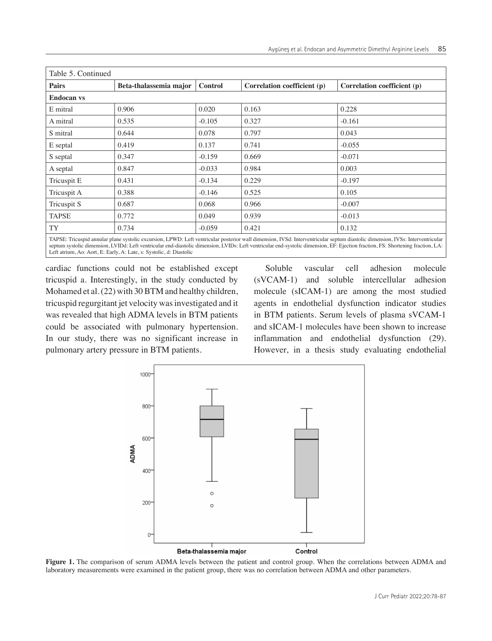| Table 5. Continued |                        |                |                                                                                                                                                                                |                             |
|--------------------|------------------------|----------------|--------------------------------------------------------------------------------------------------------------------------------------------------------------------------------|-----------------------------|
| <b>Pairs</b>       | Beta-thalassemia major | <b>Control</b> | Correlation coefficient (p)                                                                                                                                                    | Correlation coefficient (p) |
| <b>Endocan vs</b>  |                        |                |                                                                                                                                                                                |                             |
| E mitral           | 0.906                  | 0.020          | 0.163                                                                                                                                                                          | 0.228                       |
| A mitral           | 0.535                  | $-0.105$       | 0.327                                                                                                                                                                          | $-0.161$                    |
| S mitral           | 0.644                  | 0.078          | 0.797                                                                                                                                                                          | 0.043                       |
| E septal           | 0.419                  | 0.137          | 0.741                                                                                                                                                                          | $-0.055$                    |
| S septal           | 0.347                  | $-0.159$       | 0.669                                                                                                                                                                          | $-0.071$                    |
| A septal           | 0.847                  | $-0.033$       | 0.984                                                                                                                                                                          | 0.003                       |
| Tricuspit E        | 0.431                  | $-0.134$       | 0.229                                                                                                                                                                          | $-0.197$                    |
| Tricuspit A        | 0.388                  | $-0.146$       | 0.525                                                                                                                                                                          | 0.105                       |
| Tricuspit S        | 0.687                  | 0.068          | 0.966                                                                                                                                                                          | $-0.007$                    |
| <b>TAPSE</b>       | 0.772                  | 0.049          | 0.939                                                                                                                                                                          | $-0.013$                    |
| TY                 | 0.734                  | $-0.059$       | 0.421                                                                                                                                                                          | 0.132                       |
|                    |                        |                | TADCE. Triquerid annular plane evertelia exeurcian I DWD: Left ventricular poeterior well dimension. IVCd: Interventricular contum dioctolia dimension. IVCe: Interventricular |                             |

TAPSE: Tricuspid annular plane systolic excursion, LPWD: Left ventricular posterior wall dimension, IVSd: Interventricular septum diastolic dimension, IVSs: Interventricular septum systolic dimension, LVIDd: Left ventricular end-diastolic dimension, LVIDs: Left ventricular end-systolic dimension, EF: Ejection fraction, FS: Shortening fraction, LA: Left atrium, Ao: Aort, E: Early, A: Late, s: Systolic, d: Diastolic

cardiac functions could not be established except tricuspid a. Interestingly, in the study conducted by Mohamed et al. (22) with 30 BTM and healthy children, tricuspid regurgitant jet velocity was investigated and it was revealed that high ADMA levels in BTM patients could be associated with pulmonary hypertension. In our study, there was no significant increase in pulmonary artery pressure in BTM patients.

Soluble vascular cell adhesion molecule (sVCAM-1) and soluble intercellular adhesion molecule (sICAM-1) are among the most studied agents in endothelial dysfunction indicator studies in BTM patients. Serum levels of plasma sVCAM-1 and sICAM-1 molecules have been shown to increase inflammation and endothelial dysfunction (29). However, in a thesis study evaluating endothelial



**Figure 1.** The comparison of serum ADMA levels between the patient and control group. When the correlations between ADMA and laboratory measurements were examined in the patient group, there was no correlation between ADMA and other parameters.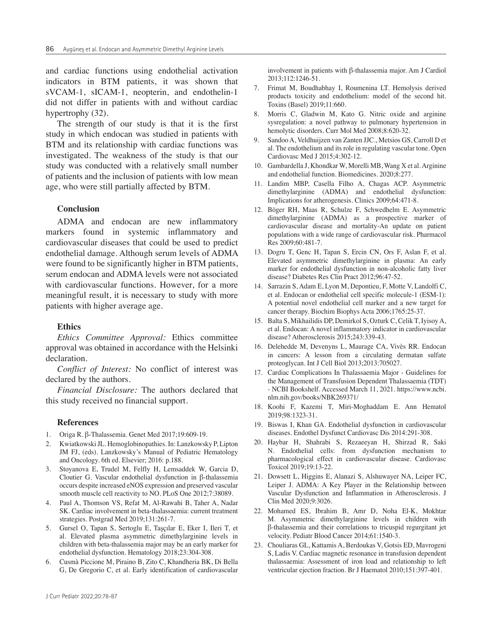and cardiac functions using endothelial activation indicators in BTM patients, it was shown that sVCAM-1, sICAM-1, neopterin, and endothelin-1 did not differ in patients with and without cardiac hypertrophy (32).

The strength of our study is that it is the first study in which endocan was studied in patients with BTM and its relationship with cardiac functions was investigated. The weakness of the study is that our study was conducted with a relatively small number of patients and the inclusion of patients with low mean age, who were still partially affected by BTM.

#### **Conclusion**

ADMA and endocan are new inflammatory markers found in systemic inflammatory and cardiovascular diseases that could be used to predict endothelial damage. Although serum levels of ADMA were found to be significantly higher in BTM patients, serum endocan and ADMA levels were not associated with cardiovascular functions. However, for a more meaningful result, it is necessary to study with more patients with higher average age.

#### **Ethics**

*Ethics Committee Approval:* Ethics committee approval was obtained in accordance with the Helsinki declaration.

*Conflict of Interest:* No conflict of interest was declared by the authors.

*Financial Disclosure:* The authors declared that this study received no financial support.

#### **References**

- 1. Origa R. β-Thalassemia. Genet Med 2017;19:609-19.
- 2. Kwiatkowski JL. Hemoglobinopathies. In: Lanzkowsky P, Lipton JM FJ, (eds). Lanzkowsky's Manual of Pediatric Hematology and Oncology. 6th ed. Elsevier; 2016: p.188.
- 3. Stoyanova E, Trudel M, Felfly H, Lemsaddek W, Garcia D, Cloutier G. Vascular endothelial dysfunction in β-thalassemia occurs despite increased eNOS expression and preserved vascular smooth muscle cell reactivity to NO. PLoS One 2012;7:38089.
- 4. Paul A, Thomson VS, Refat M, Al-Rawahi B, Taher A, Nadar SK. Cardiac involvement in beta-thalassaemia: current treatment strategies. Postgrad Med 2019;131:261-7.
- 5. Gursel O, Tapan S, Sertoglu E, Taşçılar E, Eker I, Ileri T, et al. Elevated plasma asymmetric dimethylarginine levels in children with beta-thalassemia major may be an early marker for endothelial dysfunction. Hematology 2018;23:304-308.
- 6. Cusmà Piccione M, Piraino B, Zito C, Khandheria BK, Di Bella G, De Gregorio C, et al. Early identification of cardiovascular

involvement in patients with β-thalassemia major. Am J Cardiol 2013;112:1246-51.

- 7. Frimat M, Boudhabhay I, Roumenina LT. Hemolysis derived products toxicity and endothelium: model of the second hit. Toxins (Basel) 2019;11:660.
- 8. Morris C, Gladwin M, Kato G. Nitric oxide and arginine sysregulation: a novel pathway to pulmonary hypertension in hemolytic disorders. Curr Mol Med 2008;8:620-32.
- 9. Sandoo A, Veldhuijzen van Zanten JJC., Metsios GS, Carroll D et al. The endothelium and its role in regulating vascular tone. Open Cardiovasc Med J 2015;4:302-12.
- 10. Gambardella J, Khondkar W, Morelli MB, Wang X et al. Arginine and endothelial function. Biomedicines. 2020;8:277.
- 11. Landim MBP, Casella Filho A, Chagas ACP. Asymmetric dimethylarginine (ADMA) and endothelial dysfunction: Implications for atherogenesis. Clinics 2009;64:471-8.
- 12. Böger RH, Maas R, Schulze F, Schwedhelm E. Asymmetric dimethylarginine (ADMA) as a prospective marker of cardiovascular disease and mortality-An update on patient populations with a wide range of cardiovascular risk. Pharmacol Res 2009;60:481-7.
- 13. Dogru T, Genc H, Tapan S, Ercin CN, Ors F, Aslan F, et al. Elevated asymmetric dimethylarginine in plasma: An early marker for endothelial dysfunction in non-alcoholic fatty liver disease? Diabetes Res Clin Pract 2012;96:47-52.
- 14. Sarrazin S, Adam E, Lyon M, Depontieu, F, Motte V, Landolfi C, et al. Endocan or endothelial cell specific molecule-1 (ESM-1): A potential novel endothelial cell marker and a new target for cancer therapy. Biochim Biophys Acta 2006;1765:25-37.
- 15. Balta S, Mikhailidis DP, Demirkol S, Ozturk C, Celik T, Iyisoy A, et al. Endocan: A novel inflammatory indicator in cardiovascular disease? Atherosclerosis 2015;243:339-43.
- 16. Delehedde M, Devenyns L, Maurage CA, Vivès RR. Endocan in cancers: A lesson from a circulating dermatan sulfate proteoglycan. Int J Cell Biol 2013;2013:705027.
- 17. Cardiac Complications In Thalassaemia Major Guidelines for the Management of Transfusion Dependent Thalassaemia (TDT) - NCBI Bookshelf. Accessed March 11, 2021. https://www.ncbi. nlm.nih.gov/books/NBK269371/
- 18. Koohi F, Kazemi T, Miri-Moghaddam E. Ann Hematol 2019;98:1323-31.
- 19. Biswas I, Khan GA. Endothelial dysfunction in cardiovascular diseases. Endothel Dysfunct Cardiovasc Dis 2014:291-308.
- 20. Haybar H, Shahrabi S, Rezaeeyan H, Shirzad R, Saki N. Endothelial cells: from dysfunction mechanism to pharmacological effect in cardiovascular disease. Cardiovasc Toxicol 2019;19:13-22.
- 21. Dowsett L, Higgins E, Alanazi S, Alshuwayer NA, Leiper FC, Leiper J. ADMA: A Key Player in the Relationship between Vascular Dysfunction and Inflammation in Atherosclerosis. J Clin Med 2020;9:3026.
- 22. Mohamed ES, Ibrahim B, Amr D, Noha El-K, Mokhtar M. Asymmetric dimethylarginine levels in children with β-thalassemia and their correlations to tricuspid regurgitant jet velocity. Pediatr Blood Cancer 2014;61:1540-3.
- 23. Chouliaras GL, Kattamis A, Berdoukas V, Gotsis ED, Mavrogeni S, Ladis V. Cardiac magnetic resonance in transfusion dependent thalassaemia: Assessment of iron load and relationship to left ventricular ejection fraction. Br J Haematol 2010;151:397-401.